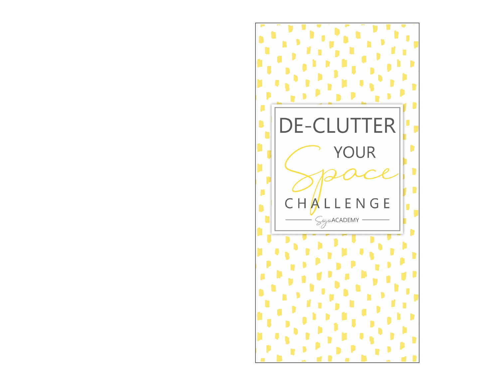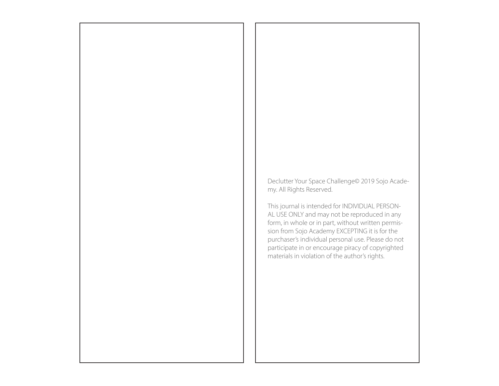Declutter Your Space Challenge© 2019 Sojo Academy. All Rights Reserved.

This journal is intended for INDIVIDUAL PERSON-AL USE ONLY and may not be reproduced in any form, in whole or in part, without written permission from Sojo Academy EXCEPTING it is for the purchaser's individual personal use. Please do not participate in or encourage piracy of copyrighted materials in violation of the author's rights.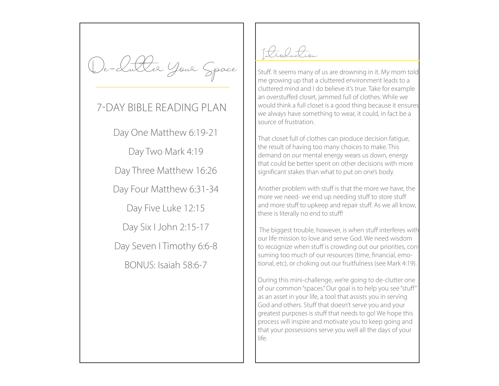De-clutter Your Space

### 7-DAY BIBLE READING PLAN

Day One Matthew 6:19-21 Day Two Mark 4:19 Day Three Matthew 16:26 Day Four Matthew 6:31-34 Day Five Luke 12:15 Day Six I John 2:15-17 Day Seven I Timothy 6:6-8 BONUS: Isaiah 58:6-7

Introduction:

Stuff. It seems many of us are drowning in it. My mom told me growing up that a cluttered environment leads to a cluttered mind and I do believe it's true. Take for example an overstuffed closet, jammed full of clothes. While we would think a full closet is a good thing because it ensures we always have something to wear, it could, in fact be a source of frustration.

That closet full of clothes can produce decision fatigue, the result of having too many choices to make. This demand on our mental energy wears us down, energy that could be better spent on other decisions with more significant stakes than what to put on one's body.

Another problem with stuff is that the more we have, the more we need- we end up needing stuff to store stuff and more stuff to upkeep and repair stuff. As we all know, there is literally no end to stuff!

 The biggest trouble, however, is when stuff interferes with our life mission to love and serve God. We need wisdom to recognize when stuff is crowding out our priorities, consuming too much of our resources (time, financial, emotional, etc), or choking out our fruitfulness (see Mark 4:19).

During this mini-challenge, we're going to de-clutter one of our common "spaces." Our goal is to help you see "stuff" as an asset in your life, a tool that assists you in serving God and others. Stuff that doesn't serve you and your greatest purposes is stuff that needs to go! We hope this process will inspire and motivate you to keep going and that your possessions serve you well all the days of your life.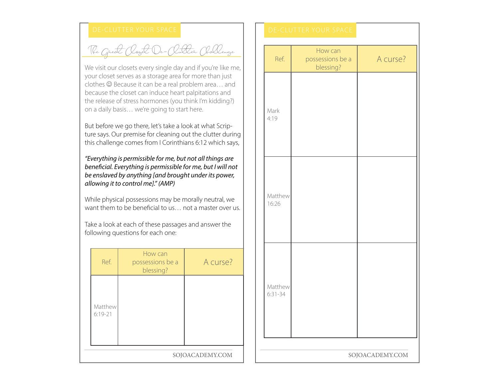The Great Cloyet De-Clutter Challenge

We visit our closets every single day and if you're like me, your closet serves as a storage area for more than just clothes  $\odot$  Because it can be a real problem area... and because the closet can induce heart palpitations and the release of stress hormones (you think I'm kidding?) on a daily basis… we're going to start here.

But before we go there, let's take a look at what Scripture says. Our premise for cleaning out the clutter during this challenge comes from I Corinthians 6:12 which says,

*"Everything is permissible for me, but not all things are beneficial. Everything is permissible for me, but I will not be enslaved by anything [and brought under its power, allowing it to control me]." (AMP)*

While physical possessions may be morally neutral, we want them to be beneficial to us… not a master over us.

Take a look at each of these passages and answer the following questions for each one:

| Ref.                   | How can<br>possessions be a<br>blessing? | A curse? |  |
|------------------------|------------------------------------------|----------|--|
| Matthew<br>$6:19 - 21$ |                                          |          |  |
| SOJOACADEMY.COM        |                                          |          |  |

| Rutter (Hallenge<br>day and if you're like me,                                                                     |                 | Ref.                 | How can<br>possessions be a<br>blessing? | A curse? |  |
|--------------------------------------------------------------------------------------------------------------------|-----------------|----------------------|------------------------------------------|----------|--|
| rea for more than just<br>al problem area and<br>eart palpitations and<br>you think I'm kidding?)<br>o start here. |                 | Mark                 |                                          |          |  |
| e a look at what Scrip-<br>ng out the clutter during<br>inthians 6:12 which says,                                  |                 | 4:19                 |                                          |          |  |
| , but not all things are<br>ible for me, but I will not<br>ought under its power,                                  |                 |                      |                                          |          |  |
| be morally neutral, we<br>s not a master over us.                                                                  |                 | Matthew<br>16:26     |                                          |          |  |
| sages and answer the<br>$\stackrel{.}{.}$                                                                          |                 |                      |                                          |          |  |
| A curse?<br>a                                                                                                      |                 |                      |                                          |          |  |
|                                                                                                                    |                 | Matthew<br>$6:31-34$ |                                          |          |  |
|                                                                                                                    |                 |                      |                                          |          |  |
|                                                                                                                    |                 |                      |                                          |          |  |
| SOJOACADEMY.COM                                                                                                    | SOJOACADEMY.COM |                      |                                          |          |  |
|                                                                                                                    |                 |                      |                                          |          |  |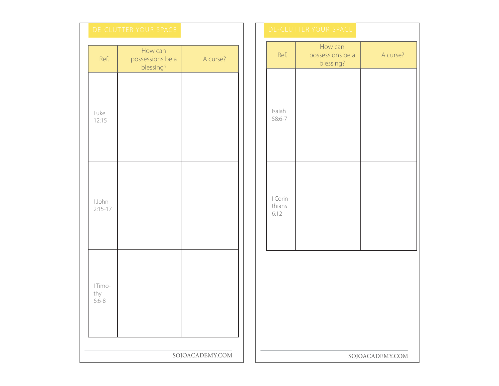|                             | DE-CLUTTER YOUR SPACE                    |                 |  | DE-CLUTTER YOUR SPACE      |                                        |
|-----------------------------|------------------------------------------|-----------------|--|----------------------------|----------------------------------------|
| Ref.                        | How can<br>possessions be a<br>blessing? | A curse?        |  | Ref.                       | How can<br>possessions be<br>blessing? |
| Luke<br>12:15               |                                          |                 |  | Isaiah<br>58:6-7           |                                        |
| I John<br>$2:15-17$         |                                          |                 |  | I Corin-<br>thians<br>6:12 |                                        |
| I Timo-<br>thy<br>$6:6 - 8$ |                                          |                 |  |                            |                                        |
|                             |                                          | SOJOACADEMY.COM |  |                            | S                                      |
|                             |                                          |                 |  |                            |                                        |

| E              |                 |                            | DE-CLUTTER YOUR SPACE                    |                 |  |  |
|----------------|-----------------|----------------------------|------------------------------------------|-----------------|--|--|
| $\overline{a}$ | A curse?        | Ref.                       | How can<br>possessions be a<br>blessing? | A curse?        |  |  |
|                |                 | Isaiah<br>58:6-7           |                                          |                 |  |  |
|                |                 | I Corin-<br>thians<br>6:12 |                                          |                 |  |  |
|                |                 |                            |                                          |                 |  |  |
|                | SOJOACADEMY.COM |                            |                                          | SOJOACADEMY.COM |  |  |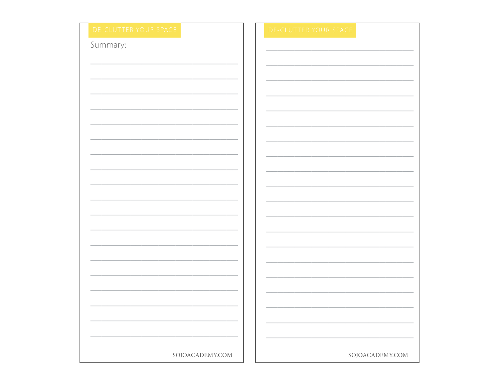| DE-CLUTTER YOUR SPACE |  | DE-CLUTTER YOUR S |
|-----------------------|--|-------------------|
| Summary:              |  |                   |
|                       |  |                   |
|                       |  |                   |
|                       |  |                   |
|                       |  |                   |
|                       |  |                   |
|                       |  |                   |
|                       |  |                   |
|                       |  |                   |
|                       |  |                   |
|                       |  |                   |
|                       |  |                   |
|                       |  |                   |
|                       |  |                   |
|                       |  |                   |
|                       |  |                   |
|                       |  |                   |
|                       |  |                   |
|                       |  |                   |
|                       |  |                   |
|                       |  |                   |
|                       |  |                   |
|                       |  |                   |
|                       |  |                   |
|                       |  |                   |
|                       |  |                   |
|                       |  |                   |
|                       |  |                   |
|                       |  |                   |

SOJOACADEMY.COM

SOJOACADEMY.COM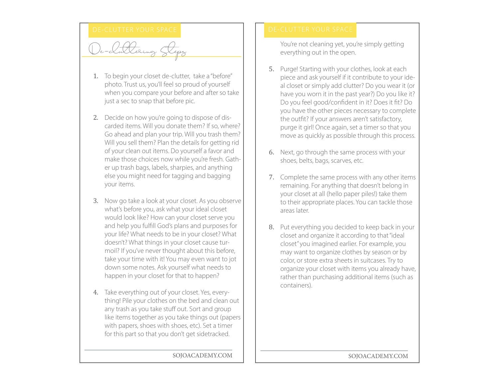# DE- CLUTTER YOUR SPACE **DE-CLUTTER YOUR SPACE**

De-cluttering Steps

- 1. To begin your closet de-clutter, take a "before" photo. Trust us, you'll feel so proud of yourself when you compare your before and after so take just a sec to snap that before pic.
- 2. Decide on how you're going to dispose of discarded items. Will you donate them? If so, where? Go ahead and plan your trip. Will you trash them? Will you sell them? Plan the details for getting rid of your clean out items. Do yourself a favor and make those choices now while you're fresh. Gather up trash bags, labels, sharpies, and anything else you might need for tagging and bagging your items.
- 3. Now go take a look at your closet. As you observe what's before you, ask what your ideal closet would look like? How can your closet serve you and help you fulfill God's plans and purposes for your life? What needs to be in your closet? What doesn't? What things in your closet cause turmoil? If you've never thought about this before, take your time with it! You may even want to jot down some notes. Ask yourself what needs to happen in your closet for that to happen?
- 4. Take everything out of your closet. Yes, everything! Pile your clothes on the bed and clean out any trash as you take stuff out. Sort and group like items together as you take things out (papers with papers, shoes with shoes, etc). Set a timer for this part so that you don't get sidetracked.

You're not cleaning yet, you're simply getting everything out in the open.

- 5. Purge! Starting with your clothes, look at each piece and ask yourself if it contribute to your ideal closet or simply add clutter? Do you wear it (or have you worn it in the past year?) Do you like it? Do you feel good/confident in it? Does it fit? Do you have the other pieces necessary to complete the outfit? If your answers aren't satisfactory, purge it girl! Once again, set a timer so that you move as quickly as possible through this process.
- 6. Next, go through the same process with your shoes, belts, bags, scarves, etc.
- 7. Complete the same process with any other items remaining. For anything that doesn't belong in your closet at all (hello paper piles!) take them to their appropriate places. You can tackle those areas later.
- 8. Put everything you decided to keep back in your closet and organize it according to that "ideal closet" you imagined earlier. For example, you may want to organize clothes by season or by color, or store extra sheets in suitcases. Try to organize your closet with items you already have, rather than purchasing additional items (such as containers).

SOJOACADEMY.COM | | SOJOACADEMY.COM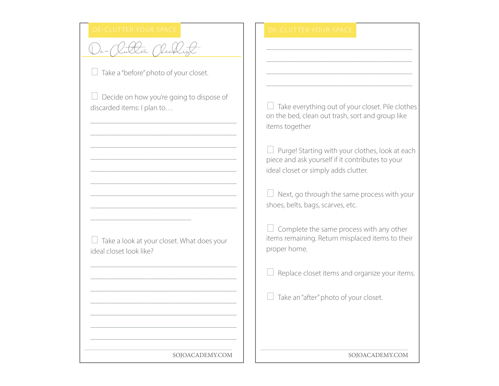## De-Clutter Checklist

 $\Box$  Take a "before" photo of your closet.

 $\Box$  Decide on how you're going to dispose of discarded items: I plan to…

\_\_\_\_\_\_\_\_\_\_\_\_\_\_\_\_\_\_\_\_\_\_\_\_\_\_\_\_\_ \_\_\_\_\_\_\_\_\_\_\_\_\_\_\_\_\_\_\_\_\_\_\_\_\_\_\_\_\_ \_\_\_\_\_\_\_\_\_\_\_\_\_\_\_\_\_\_\_\_\_\_\_\_\_\_\_\_\_ \_\_\_\_\_\_\_\_\_\_\_\_\_\_\_\_\_\_\_\_\_\_\_\_\_\_\_\_\_ \_\_\_\_\_\_\_\_\_\_\_\_\_\_\_\_\_\_\_\_\_\_\_\_\_\_\_\_\_ \_\_\_\_\_\_\_\_\_\_\_\_\_\_\_\_\_\_\_\_\_\_\_\_\_\_\_\_\_ \_\_\_\_\_\_\_\_\_\_\_\_\_\_\_\_\_\_\_\_\_\_\_\_\_\_\_\_\_ \_\_\_\_\_\_\_\_\_\_\_\_\_\_\_\_\_\_\_\_\_\_\_\_\_\_\_\_\_

 $\Box$  Take a look at your closet. What does your ideal closet look like?

\_\_\_\_\_\_\_\_\_\_\_\_\_\_\_\_\_\_\_\_\_\_\_\_\_\_\_\_\_ \_\_\_\_\_\_\_\_\_\_\_\_\_\_\_\_\_\_\_\_\_\_\_\_\_\_\_\_\_ \_\_\_\_\_\_\_\_\_\_\_\_\_\_\_\_\_\_\_\_\_\_\_\_\_\_\_\_\_ \_\_\_\_\_\_\_\_\_\_\_\_\_\_\_\_\_\_\_\_\_\_\_\_\_\_\_\_\_ \_\_\_\_\_\_\_\_\_\_\_\_\_\_\_\_\_\_\_\_\_\_\_\_\_\_\_\_\_ \_\_\_\_\_\_\_\_\_\_\_\_\_\_\_\_\_\_\_\_\_\_\_\_\_\_\_\_\_ \_\_\_\_\_\_\_\_\_\_\_\_\_\_\_\_\_\_\_\_\_\_\_\_\_\_\_\_\_

\_\_\_\_\_\_\_\_\_\_\_\_\_\_\_\_\_\_\_\_

 $\Box$  Take everything out of your closet. Pile clothes on the bed, clean out trash, sort and group like items together

\_\_\_\_\_\_\_\_\_\_\_\_\_\_\_\_\_\_\_\_\_\_\_\_\_\_\_\_\_ \_\_\_\_\_\_\_\_\_\_\_\_\_\_\_\_\_\_\_\_\_\_\_\_\_\_\_\_\_ \_\_\_\_\_\_\_\_\_\_\_\_\_\_\_\_\_\_\_\_\_\_\_\_\_\_\_\_\_ \_\_\_\_\_\_\_\_\_\_\_\_\_\_\_\_\_\_\_\_\_\_\_\_\_\_\_\_\_

 $\Box$  Purge! Starting with your clothes, look at each piece and ask yourself if it contributes to your ideal closet or simply adds clutter.

 $\Box$  Next, go through the same process with your shoes, belts, bags, scarves, etc.

 $\Box$  Complete the same process with any other items remaining. Return misplaced items to their proper home.

 $\Box$  Replace closet items and organize your items.

 $\Box$  Take an "after" photo of your closet.

SOJOACADEMY.COM SOJOACADEMY.COM